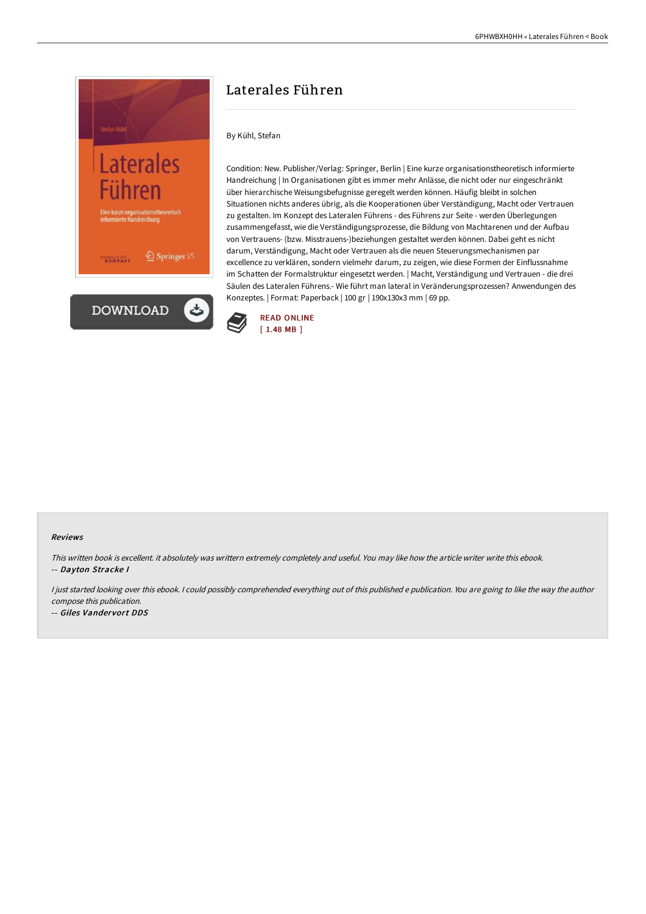

## Laterales Führen

## By Kühl, Stefan

Condition: New. Publisher/Verlag: Springer, Berlin | Eine kurze organisationstheoretisch informierte Handreichung | In Organisationen gibt es immer mehr Anlässe, die nicht oder nur eingeschränkt über hierarchische Weisungsbefugnisse geregelt werden können. Häufig bleibt in solchen Situationen nichts anderes übrig, als die Kooperationen über Verständigung, Macht oder Vertrauen zu gestalten. Im Konzept des Lateralen Führens - des Führens zur Seite - werden Überlegungen zusammengefasst, wie die Verständigungsprozesse, die Bildung von Machtarenen und der Aufbau von Vertrauens- (bzw. Misstrauens-)beziehungen gestaltet werden können. Dabei geht es nicht darum, Verständigung, Macht oder Vertrauen als die neuen Steuerungsmechanismen par excellence zu verklären, sondern vielmehr darum, zu zeigen, wie diese Formen der Einflussnahme im Schatten der Formalstruktur eingesetzt werden. | Macht, Verständigung und Vertrauen - die drei Säulen des Lateralen Führens.- Wie führt man lateral in Veränderungsprozessen? Anwendungen des Konzeptes. | Format: Paperback | 100 gr | 190x130x3 mm | 69 pp.



## Reviews

This written book is excellent. it absolutely was writtern extremely completely and useful. You may like how the article writer write this ebook. -- Dayton Stracke I

I just started looking over this ebook. I could possibly comprehended everything out of this published e publication. You are going to like the way the author compose this publication.

-- Giles Vandervort DDS